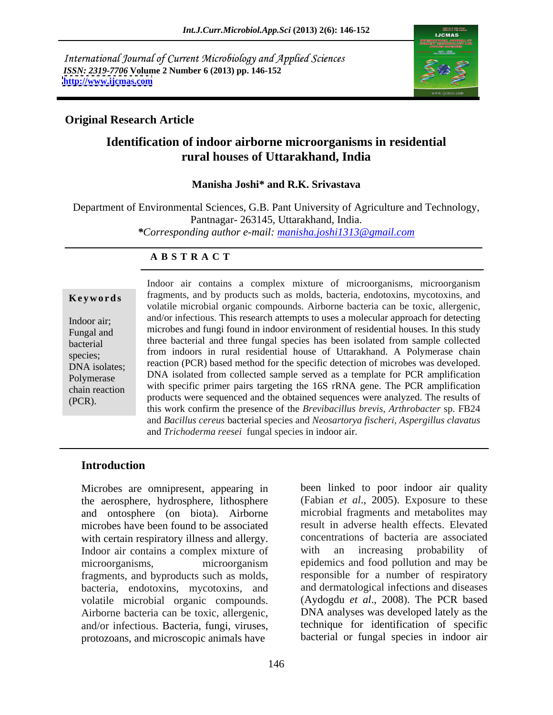International Journal of Current Microbiology and Applied Sciences *ISSN: 2319-7706* **Volume 2 Number 6 (2013) pp. 146-152 <http://www.ijcmas.com>**



### **Original Research Article**

## **Identification of indoor airborne microorganisms in residential rural houses of Uttarakhand, India**

### **Manisha Joshi\* and R.K. Srivastava**

Department of Environmental Sciences, G.B. Pant University of Agriculture and Technology, Pantnagar- 263145, Uttarakhand, India. *\*Corresponding author e-mail: manisha.joshi1313@gmail.com*

### **A B S T R A C T**

**Keywords** fragments, and by products such as molds, bacteria, endotoxins, mycotoxins, and Indoor air; and/or infectious. This research attempts to uses a molecular approach for detecting Fungal and microbes and fungi found in indoor environment of residential houses. In this study bacterial three bacterial and three fungal species has been isolated from sample collected species; from indoors in rural residential house of Uttarakhand. A Polymerase chain DNA isolates; reaction (PCR) based method for the specific detection of microbes was developed. Polymerase **DNA** isolated from collected sample served as a template for PCR amplification chain reaction with specific primer pairs targeting the 16S rRNA gene. The PCR amplification Megale indoor air contains a complex mixture of microorganisms, microorganism<br> **Exerced Exerces** fragments, and by products such as molds, bacteria, endotoxins, mycotoxins, and<br>
volatile microbial organic compounds. Airbor volatile microbial organic compounds. Airborne bacteria can be toxic, allergenic, products were sequenced and the obtained sequences were analyzed. The resultsof this work confirm the presence of the *Brevibacillus brevis*, *Arthrobacter* sp. FB24 and *Bacillus cereus* bacterial species and *Neosartorya fischeri*, *Aspergillus clavatus* and *Trichoderma reesei* fungal species in indoor air.

### **Introduction**

Microbes are omnipresent, appearing in the aerosphere, hydrosphere, lithosphere and ontosphere (on biota). Airborne microbes have been found to be associated with certain respiratory illness and allergy. Concentrations of bacteria are assoc<br>Indoor air contains a complex mixture of with an increasing probability Indoor air contains a complex mixture of with an increasing probability of microorganisms, microorganism epidemics and food pollution and may be fragments, and byproducts such as molds, bacteria, endotoxins, mycotoxins, and volatile microbial organic compounds. (Aydogdu *et al*., 2008). The PCR based Airborne bacteria can be toxic, allergenic, and/or infectious. Bacteria, fungi, viruses, protozoans, and microscopic animals have

been linked to poor indoor air quality (Fabian *et al*., 2005). Exposure to these microbial fragments and metabolites may result in adverse health effects. Elevated concentrations of bacteria are associated with an increasing probability of epidemics and food pollution and may be responsible for a number of respiratory and dermatological infections and diseases DNA analyses was developed lately as the technique for identification of specific bacterial or fungal species in indoor air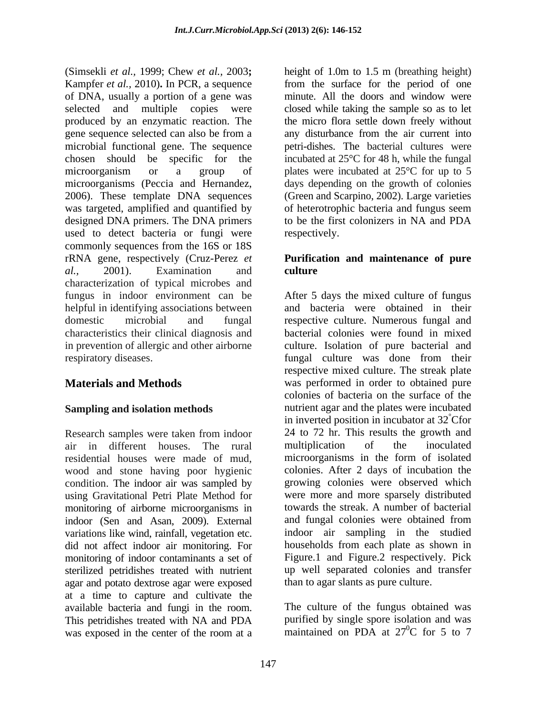(Simsekli *et al.,* 1999; Chew *et al.,* 2003**;**  Kampfer *et al.,* 2010)**.** In PCR, a sequence of DNA, usually a portion of a gene was selected and multiple copies were closed while taking the sample so as to let produced by an enzymatic reaction. The the micro flora settle down freely without gene sequence selected can also be from a any disturbance from the air current into microbial functional gene. The sequence petri-dishes. The bacterial cultures were chosen should be specific for the incubated at 25°C for 48 h, while the fungal microorganism or a group of plates were incubated at 25<sup>o</sup>C for up to 5 microorganisms (Peccia and Hernandez, days depending on the growth of colonies 2006). These template DNA sequences (Green and Scarpino, 2002). Large varieties was targeted, amplified and quantified by of heterotrophic bacteria and fungus seem designed DNA primers. The DNA primers to be the first colonizers in NA and PDA used to detect bacteria or fungi were respectively. commonly sequences from the 16S or 18S rRNA gene, respectively (Cruz-Perez *et*  **Purification and maintenance of pure** *al.,* 2001). Examination and characterization of typical microbes and fungus in indoor environment can be After 5 days the mixed culture of fungus helpful in identifying associations between domestic microbial and fungal respective culture. Numerous fungal and characteristics their clinical diagnosis and bacterial colonies were found in mixed in prevention of allergic and other airborne respiratory diseases. fungal culture was done from their

air in different houses. The rural residential houses were made of mud, wood and stone having poor hygienic condition. The indoor air was sampled by using Gravitational Petri Plate Method for monitoring of airborne microorganisms in indoor (Sen and Asan, 2009). External did not affect indoor air monitoring. For monitoring of indoor contaminants a set of sterilized petridishes treated with nutrient agar and potato dextrose agar were exposed at a time to capture and cultivate the available bacteria and fungi in the room. The culture of the fungus obtained was This petridishes treated with NA and PDA purified by single spore isolation and was was exposed in the center of the room at a maintained on PDA at  $27^0C$  for 5 to 7 was exposed in the center of the room at a maintained on PDA at 27<sup>o</sup>C for 5 to 7

height of 1.0m to 1.5 m (breathing height) from the surface for the period of one minute. All the doors and window were of heterotrophic bacteria and fungus seem respectively.

# **culture**

**Materials and Methods** was performed in order to obtained pure **Sampling and isolation methods nutrient agar and the plates were incubated** Research samples were taken from indoor 24 to 72 hr. This results the growth and variations like wind, rainfall, vegetation etc. indoor air sampling in the studied and bacteria were obtained in their culture. Isolation of pure bacterial and respective mixed culture. The streak plate colonies of bacteria on the surface of the in inverted position in incubator at 32°Cfor 24 to 72 hr. This results the growth and multiplication of the inoculated microorganisms in the form of isolated colonies. After 2 days of incubation the growing colonies were observed which were more and more sparsely distributed towards the streak. A number of bacterial and fungal colonies were obtained from households from each plate as shown in Figure.1 and Figure.2 respectively. Pick up well separated colonies and transfer than to agar slants as pure culture.

> purified by single spore isolation and was maintained on PDA at  $27^{\circ}$ C for 5 to 7  $^{0}$ C for 5 to 7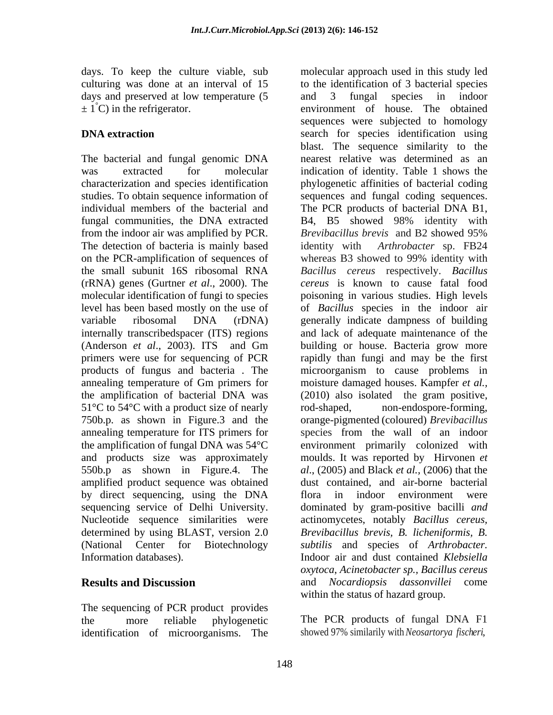days. To keep the culture viable, sub days and preserved at low temperature  $(5 \text{ and } 3 \text{ fungal species in } 1)$ 

The bacterial and fungal genomic DNA fungal communities, the DNA extracted a B4, B5 showed 98% identity with from the indoor air was amplified by PCR. The detection of bacteria is mainly based on the PCR-amplification of sequences of whereas B3 showed to 99% identity with (rRNA) genes (Gurtner *et al*., 2000). The molecular identification of fungi to species (Anderson *et al*., 2003). ITS and Gm products of fungus and bacteria . The 51<sup>°</sup>C to 54<sup>°</sup>C with a product size of nearly rod-shaped, 550b.p as shown in Figure.4. The amplified product sequence was obtained by direct sequencing, using the DNA flora in indoor environment were determined by using BLAST, version 2.0 (National Center for Biotechnology

The sequencing of PCR product provides identification of microorganisms. The

culturing was done at an interval of 15 to the identification of 3 bacterial species  $\pm 1^{\circ}$ C) in the refrigerator. environment of house. The obtained **DNA extraction** search for species identification using was extracted for molecular indication of identity. Table 1 shows the characterization and species identification phylogenetic affinities of bacterial coding studies. To obtain sequence information of sequences and fungal coding sequences. individual members of the bacterial and The PCR products of bacterial DNA B1, the small subunit 16S ribosomal RNA *Bacillus cereus* respectively. *Bacillus*  level has been based mostly on the use of of *Bacillus* species in the indoor air variable ribosomal DNA (rDNA) generally indicate dampness of building internally transcribedspacer (ITS) regions and lack of adequate maintenance of the primers were use for sequencing of PCR rapidly than fungi and may be the first annealing temperature of Gm primers for moisture damaged houses. Kampfer *et al.,* the amplification of bacterial DNA was (2010) also isolated the gram positive, 750b.p. as shown in Figure.3 and the orange-pigmented (coloured) *Brevibacillus* annealing temperature for ITS primers for species from the wall of an indoor the amplification of fungal DNA was 54°C environment primarily colonized with and products size was approximately moulds. It was reported by Hirvonen *et*  sequencing service of Delhi University. dominated by gram-positive bacilli *and* Nucleotide sequence similarities were actinomycetes, notably *Bacillus cereus,* Information databases). Indoor air and dust contained *Klebsiella* **Results and Discussion** and *Nocardiopsis dassonvillei* come molecular approach used in this study led and 3 fungal species in indoor sequences were subjected to homology blast. The sequence similarity to the nearest relative was determined as an B4, B5 showed 98% identity with *Brevibacillus brevis* and B2 showed 95% identity with *Arthrobacter* sp.FB24 whereas B3 showed to 99% identity with *cereus* is known to cause fatal food poisoning in various studies. High levels building or house. Bacteria grow more microorganism to cause problems in non-endospore-forming, *al*., (2005) and Black *et al.,* (2006) that the dust contained, and air-borne bacterial flora in indoor environment were *Brevibacillus brevis, B. licheniformis, B. subtilis* and species of *Arthrobacter. oxytoca*, *Acinetobacter sp., Bacillus cereus* within the status of hazard group.

the more reliable phylogenetic The PCR products of fungal DNA F1 showed 97% similarily with *Neosartorya fischeri*,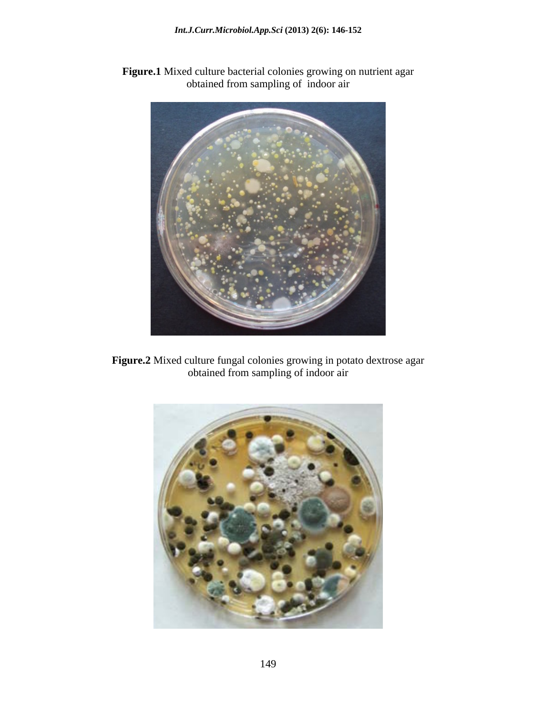- 
- **Figure.1** Mixed culture bacterial colonies growing on nutrient agar obtained from sampling of indoor air

**Figure.2** Mixed culture fungal colonies growing in potato dextrose agar obtained from sampling of indoor air

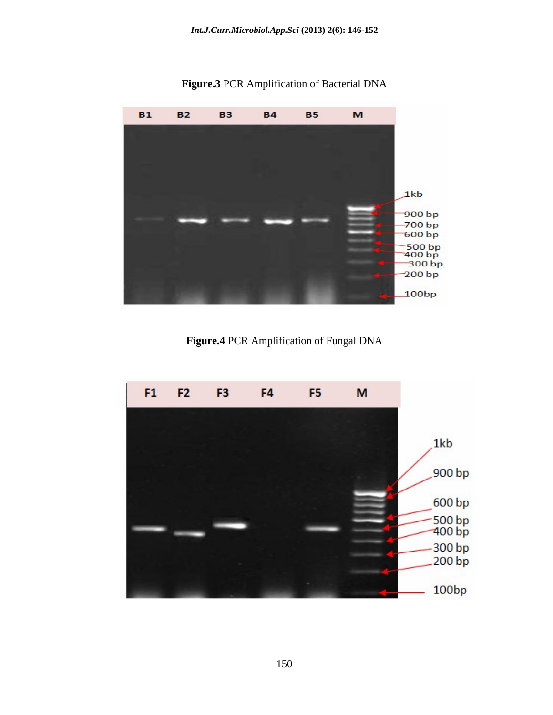**Figure.3** PCR Amplification of Bacterial DNA



 **Figure.4** PCR Amplification of Fungal DNA

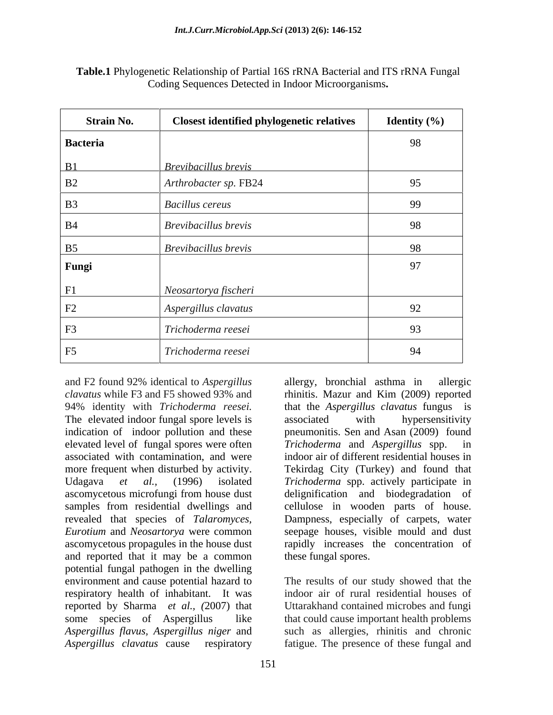| <b>Strain No.</b> | <b>Closest identified phylogenetic relatives</b> | <b>Identity</b> $(\%)$ |
|-------------------|--------------------------------------------------|------------------------|
| Bacteria          |                                                  | 98                     |
| B1                | <b>Brevibacillus</b> brevis                      |                        |
| B2                | Arthrobacter sp. FB24                            | 95                     |
| <b>B3</b>         | <b>Bacillus cereus</b>                           | 99                     |
| <b>B4</b>         | Brevibacillus brevis                             | 98                     |
| B <sub>5</sub>    | Brevibacillus brevis                             | 98                     |
| Fungi             |                                                  | 97                     |
| F1                | Neosartorya fischeri                             |                        |
| $\rm F2$          | Aspergillus clavatus                             | 92                     |
| ${\rm F3}$        | Trichoderma reesei                               | 93                     |
| F5                | Trichoderma reesei                               | 94                     |

**Table.1** Phylogenetic Relationship of Partial 16S rRNA Bacterial and ITS rRNA Fungal Coding Sequences Detected in Indoor Microorganisms**.**

and F2 found 92% identical to *Aspergillus clavatus* while F3 and F5 showed 93% and rhinitis. Mazur and Kim (2009) reported 94% identity with *Trichoderma reesei.* that the *Aspergillus clavatus* fungus is The elevated indoor fungal spore levels is associated with hypersensitivity indication of indoor pollution and these pneumonitis. Sen and Asan (2009) found elevated level of fungal spores were often *Trichoderma* and *Aspergillus* spp. in associated with contamination, and were more frequent when disturbed by activity. Tekirdag City (Turkey) and found that Udagava *et al.,* (1996) isolated *Trichoderma* spp. actively participate in ascomycetous microfungi from house dust delignification and biodegradation of samples from residential dwellings and cellulose in wooden parts of house. revealed that species of *Talaromyces,* Dampness, especially of carpets, water *Eurotium* and *Neosartorya* were common seepage houses, visible mould and dust ascomycetous propagules in the house dust and reported that it may be a common potential fungal pathogen in the dwelling environment and cause potential hazard to The results of our study showed that the respiratory health of inhabitant. It was reported by Sharma *et al., (*2007) that Uttarakhand contained microbes and fungi some species of Aspergillus like that could cause important health problems *Aspergillus flavus, Aspergillus niger* and such as allergies, rhinitis and chronic Aspergillus clavatus cause respiratory fatigue. The presence of these fungal and

*Trichoderma* and *Aspergillus* spp. indoor air of different residential houses in rapidly increases the concentration of these fungal spores. indoor air of rural residential houses of

allergy, bronchial asthma in

associated with hypersensitivity